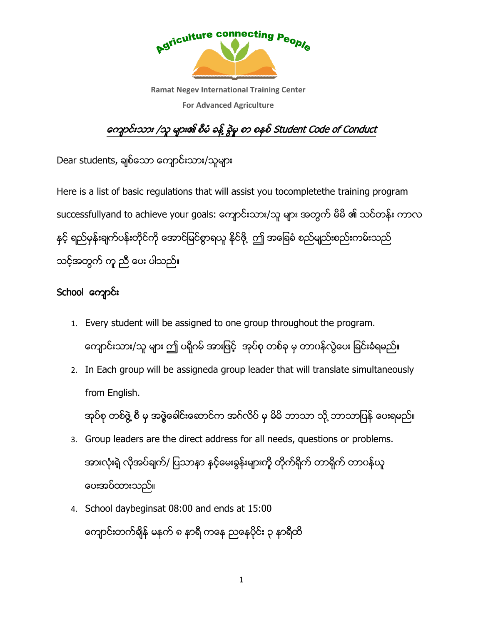

### ကျောင်းသား /သူ များ၏ စီမံ ခန့် ခွဲမှု စာ စနစ် Student Code of Conduct

Dear students, ချစ်သော ကျောင်းသား/သူများ

Here is a list of basic regulations that will assist you tocompletethe training program thesuccessfullyand to achieve your goals: ကျောင်းသား/သူ များ အတွက် မိမိ ၏ သင်တန်း ကာလ successfullyand to achieve your goals: ကျောင်းသား/သူ များ အတွက် မိမိ ၏ သင်တန်း<br>နှင့် ရည်မှန်းချက်ပန်းတိုင်ကို အောင်မြင်စွာရယူ နိုင်ဖို့ ဤ အခြေခံ စည်မျည်းစည်းကမ်းသည် သင့်အတွက် ကူ ညီ ေပး ပါသည်။<br>School ကျော**င်း** ိ ္ ့် ဤ အခြေခံ စည်မျည်းစည်းကမ်းသည်<br>-<br>group throughout the program.

- 1. Every student will be assigned to one group throughout the program. ကျောင်းသား/သူ များ ဤ ပရိုဂမ် အားဖြင့် အုပ်စု တစ်ခု မှ တာဂန်လွဲပေး ခြင်းခံရမည် ိ
- ကျောင်းသား/သူ များ ဤ ပရိုဂမ် အားဖြင့် အုပ်စု တစ်ခု မှ တာဂန်လွဲပေး ခြင်းခံရမည်။<br>2. In Each group will be assigneda group leader that will translate simultaneously from English. In Each group will be assigneda group leader that will translate simultaneously<br>from English.<br>အုပ်စု တစ်ဖွဲ့ စီ မှ အဖွဲ့ခေါင်းဆောင်က အဂ်လိပ် မှ မိမိ ဘာသာ သို့ ဘာသာပြန် ပေးရမည်။

ိ

- 3. Group leaders are the direct address for all needs, questions or problems. အားလုံးရဲ့ လုံအပ်ချက်/ ပြသာနာ နှင့်မေးခွန်းများကို တိုက်ရိုက် တာရိုက် တာပန်ယူ ပေးအပ်ထားသည်။
- 4. School daybeginsat 08:00 and ends at 15:00 ကျောင်းတက်ချိန် မနက် ၈ နာရီ ကနေ ညနေပိုင်း ၃ နာရီထိ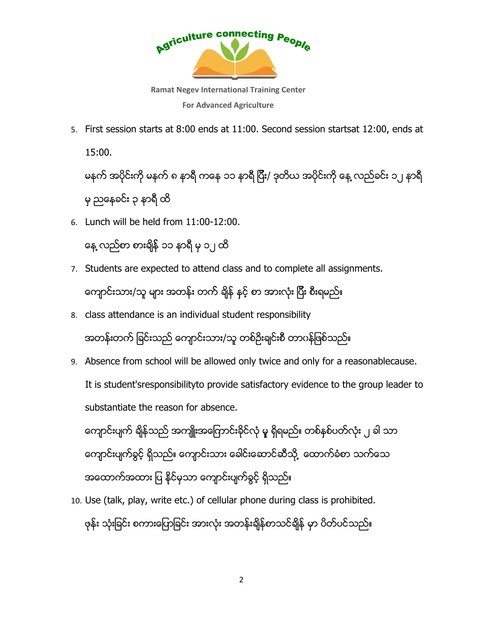

5. First session starts at 8:00 ends at 11:00. Second session startsat 15:00.

မနက် အပိုင်းကို မနက် ၈ နာရီ ကနေ ၁၁ နာရီ ပြီး/ ဒုတိယ အပိုင်းကို နေ့ လည်ခင်း ၁၂ နာရီ<br>မှ ညနေခင်း ၃ နာရီ ထိ<br>Lunch will be held from 11:00-12:00. မွညေနခင္ း ၃ နာရီထိ ီ

6. Lunch will be held from 11

နေ့ လည်စာ စားချိန် ၁၁ နာရီ မှ ၁၂ ထိ

- 7. Students are expected to attend class and to complete all assignments. ကျောင်းသား/သူ များ အတန်း တက် ချိန် နှင့် စာ အားလုံး ပြီး စီးရမည် ီ to attend class and to complete all assignments.<br>၁န်း တက် ရှိန် နှင့် စာ အားလုံး ပြီး စီးရမည်။<br>ndividual student responsibility<br>ကျာင်းသား/သူ တစ်ဉိးချင်းစီ တာပန်ဖြစ်သည်။<br>ill be allowed only twice and only for a reasonable
- 8. class attendance is an individual student responsibility ကျောင်းသား/သူ များ အတန်း တကဲ ရျံနဲ နှင့် စာ အားလုံး ပြီး စီးရမည်။<br>class attendance is an individual student responsibility<br>အတန်းတက် ခြင်းသည် ကျောင်းသား/သူ တစ်ဉိုးချင်းစီ တာပန်ဖြစ်သည်။
- 9. Absence from school will be allowed only twice hool and only for a reasonablecause. It is student'sresponsibilityto provide satisfactory evidence to the group leader leader to substantiate the reason for absence. sat 12:00, ends at $\epsilon_{\mathbf{k}}$  လည်ခင်း ၁၂ နာရီ $\epsilon_{\mathbf{k}}$ <br>inments.<br>ne group leader to<br>လုံး ၂ ခါ သာ<br>) သက်သေ<br>ibited.

ကျောင်းပျက် ချိန်သည် အကျိူးအကြောင်းခိုင်လုံ မူ ရှိရမည်။ တစ်နှစ်ပတ်လုံး ၂ ခါ သာ ကျောင်းပျက်ခွင့် ရှိသည်။ ကျောင်းသား ခေါင်းဆောင်ဆီသို့ ထောက်ခံစာ သက်သေ အထောက်အထား ပြ နိုင်မှသာ ကျောင်းပျက်ခွင့် ရှိသည်

အထောက်အထား ပြ နိုင်မှသာ ကျောင်းပျက်ခွင့် ရှိသည်။<br>10. Use (talk, play, write etc.) of cellular phone during class is prohibited. ဖုန်း သုံးခြင်း စကားပြောခြင်း အားလုံး အတန်းချိန်စာသင်ချိန် မှာ ပိတ်ပင်သည်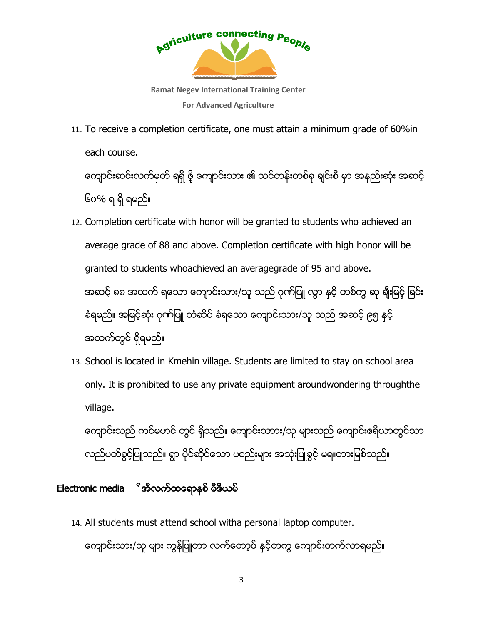

11. To receive a completion certificate, one must attain a minimum grade of 60% each course.

ကျောင်းဆင်းလက်မှတ် ရရှိ ဖို ကျောင်းသား ၏ သင်တန်းတစ်ခု ချင်းစီ မှာ အနည်းဆုံး အဆင့်<br>၆ဂ% ရ ရှိ ရမည်။ ိရမည္ ။

- 12. Completion certificate with honor will be granted to students who achieved an average grade of 88 and above. Completion certificate with high honor will be granted to students whoachieved an averagegrade of 95 and above. granted to students whoachieved an averagegrade of 95 and above.<br>အဆင့် ၈၈ အထက် ရသော ကျောင်းသား/သူ သည် ဂုဏ်ပြူ လွှာ နင့် တစ်ကွ ဆု ရီုးမြင့် ခြင်း အဆင့် ၈၈ အထက် ရသော ကျောင်းသား/သူ သည် ဂုဏ်ပြူ လွာ နှင့် တစ်ကွ ဆု ရီုးမြင့် ခြင်း<br>ခံရမည်။ အမြင့်ဆုံး ဂုဏ်ပြူ တံဆိပ် ခံရသော ကျောင်းသား/သူ သည် အဆင့် ၉၅ နှင့် အထက်တွင် ရှိရမည်။ attain a minimum grade of 60%in<br>ကန်းတစ်ခု ရင်းစီ မှာ အနည်းဆုံး အဆ<br>ted to students who achieved an<br>ertificate with high honor will be<br>grade of 95 and above.<br>စုက်ပြူ လွာ နှင့် တစ်ကွ ဆု ရီးမြင့် ခြင်း<br>အား/သူ သည် အဆင့် ၉၅
- 13. School is located in Kmehin village. Students are limited to stay on school area only. It is prohibited to use any private equipment aroundwondering throughthe village.

ကျောင်းသည် ကင်မဟင် တွင် ရှိသည်။ ကျောင်းသာား/သူ များသည် ကျောင်းဧရိယာတွင်သာ လည်ပတ်ခွင့်ပြူသည်။ ရွာ ပိုင်ဆိုင်သော ပစည်းများ အသုံးပြူခွင့် မရ။တားမြစ်သည်။<br>nic media **်အီလက်ထရောနစ် မီဒီယမ်** )ည ကျောင်းဇရိယ<br>မရ။တားမြစ်သည်

### Electronic media  $^{\circ}$ အီလက်ထရောနစ် မီဒီယမ်

14. All students must attend school witha personal laptop computer.

ကျောင်းသား/သူ များ ကွန်ပြူတာ လက်တော့ပဲ နင့်တကွ ကျောင်းတက်လာရမည်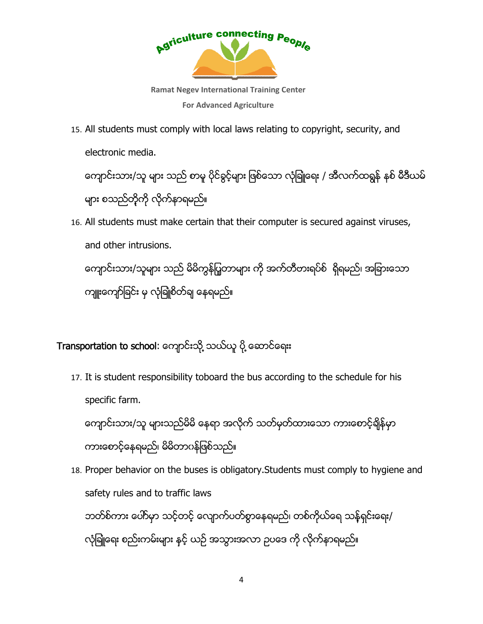

Ramat Negev International Training Center For Advanced Agriculture

15. All students must comply with local laws relating to copyright, security, and electronic media.

ကျောင်းသား/သူ များ သည် စာမူ ပိုင်ခွင့်များ ဖြစ်သော လုံခြုံုရေး / အီလက်ထရွန် နစ် မီဒီယမ် များ စသည်တို့ကို လိုက်နာရမည်။

16. All students must make certain that their computer is secured against viruses, against and other intrusions. ကျောင်းသား/သူများ သည် မိမိကွန်ပြူတာများ ကို အက်တီတးရပ်စ် ရှိရမည်၊ အခြားသော ကျူးကျော်ခြင်း မှ လုံခြူံစိတ်ချ နေရမည် t, security, an<br>လက်ထရွန် နစ်<br>d against virus<br>ရမည်၊ အခြားေ<br>mply to hygier<br>mply to hygier<br>မည်။

## ကျူးကျော်ခြင်း မှ လုံခြူံစိတ်ချ နေရမည်။<br>I<br>Transportation to school: ကျောင်းသို့ သယ်ယူ ပို့ ဆောင်ရေးး ိ

17. It is student responsibility toboard the bus according to the schedule for his specific farm.

ကျောင်းသား/သူ များသည်မိမိ နေရာ အလိုက် သတ်မှတ်ထားသော ကားစောင့်ချိန်မှာ ကားေစာင့်နေရမည်၊ မိမိတာဂနဲဖြစ်သည်။ ိ bus according to the schedule for his<br>က် သတ်မှတ်ထားသော ကားစောင့်ချိန်မှာ<br>:ory.Students must comply to hygiene and

18. Proper behavior on the buses is obligatory.Students must comply to safety rules and to traffic laws ဘတ်စ်ကား ပေါ်ာမှာ သင့်တင့် လျောက်ပတ်စွာနေရမည်၊ တစ်ကိုယ်ရေ သန့်ရှင်းရေး/ လုံခြုံ့ရေး စည်းကမ်းများ နှင့် ယဉ် အသွားအလာ ဥပဒေ ကို လိုက်နာရမည် ္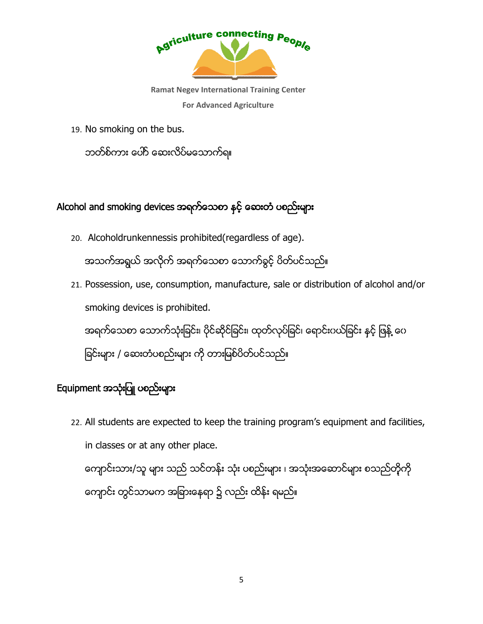

19. No smoking on the bus.

ဘတ်စ်ကား ပေါ်ာ ဆေးလိပ်မသောက်ရ။

# ဘတ်စ်ကား ပေါ်ာ ဆေးလိပ်မသောက်ရ။<br>-<br>Alcohol and smoking devices အရက်သေစာ နှင့် ဆေးတံ ပစည်းများ

- 20. Alcoholdrunkennessis prohibited(regardless of age). အသက်အရွယ် အလိုက် အရက်သေစာ ေသာက်ခွင့် ပိတ်ပင်သည်
- 21. Possession, use, consumption, manufacture, sale or distribution of alcoho smoking devices is prohibited. အရက်သေစာ သောက်သုံးခြင်း၊ ပိုင်ဆိုင်ခြင်း၊ ထုတ်လုပ်ခြင်၊ ရောင်းပယ်ခြင်း နှင့် ဖြန့် ပေ ခြင်းများ / ဆေးတံပစည်းများ ကို တားမြစ်ပိတ်ပင်သည်။ ယ် အလိုက် အရက်သေစာ သောက်ခွင့် ပိတ်ပင်သည်။<br>, use, consumption, manufacture, sale or distrib<br>evices is prohibited. or distribution of alcohol and/or $\widetilde{G}$ ်၊ ရောင်းပယ်ခြင်း နှင့် ဖြန့် ဝေ $\widetilde{G}$ <br>gram's equipment and facilities, $\widetilde{G}$ <br>အသုံးအဆောင်များ စသည်တိုကို

### Equipment အသုံးပြူ ပစည်းများ

22. All students are expected to keep the training program's equipment and facilities, in classes or at any other place. nent **အသုံးပြူ ပစည်းများ**<br>All students are expected to keep the training program's equipment and facilit<br>in classes or at any other place.<br>ကျောင်းသား/သူ များ သည် သင်တန်း သုံး ပစည်းများ ၊ အသုံးအဆောင်များ စသည်တို့ကို

ကျောင်း တွင်သာမက အခြားနေရာ ၌ လည်း ထိန်း ရမည်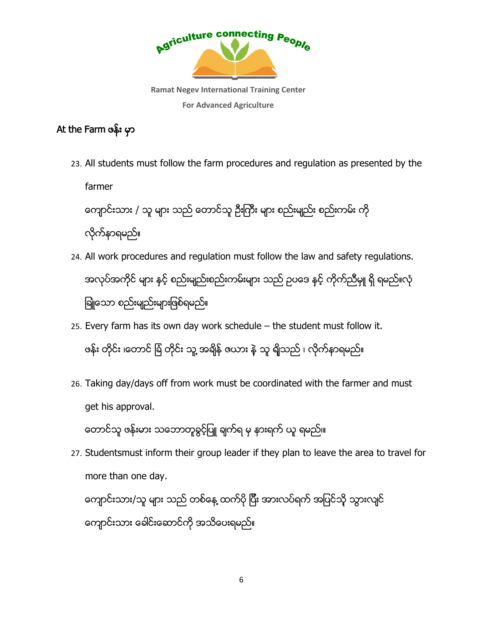

### At the Farm ဖန္း မွာ

23. All students must follow the farm procedures and regulation as presented by the farmer

ကျောင်းသား / သူ များ သည် တောင်သူ ဦးကြီး များ စည်းမျည်း စည်းကမ်း ကို လု ိက္နာရမည္ ။္

- 24. All work procedures and regulation must follow the law and safety regulations. အလုပ်အကိုင် များ နှင့် စည်းမျည်းစည်းကမ်းများ သည် ဥပဒေ နှင့် ကိုက်ညီမှူ ရှိ ရမည်။လုံ ္ ခြုံ့သော စည်းမျည်းများဖြစ်ရမည်။ students must follow the farm procedures and regulation as presented by the<br>Prefactor / သူ များ သည် တောင်သူ ဦးကြီး များ စည်းမျည်း စည်းတမ်း ကို<br>ကိနာရေမည်။<br>ကုိကုပြောင်း and regulation must follow the law and safety regulat
- 25. Every farm has its own day work schedule the student must follow it. ဖန်း တိုင်း ၊တောင် ရြံ တိုင်း သူ့ အချိန် ဇယား နဲ့ သူ ရျိသည် ၊ လိုက်နာရမည်
- 26. Taking day/days off from work must be coordinated with the farmer and must get his approval. း နဲ့ သူ ရျိသည် ၊ လိုက်နာရမည်။<br>e coordinated with the farm<br>မှ နားရက် ယူ ရမည်။ days off from work must be coordinated with the farmer and<br>၁val.<br>းမား သဘောတူခွင့်ပြူ ချက်ရ မှ နားရက် ယူ ရမည်။၊<br>st inform their group leader if they plan to leave the area to<br>ne day.<br>သူ များ သည် တစ်နေ့ ထက်ပို ပြီး အားလပ်ရက

တောင်သူ ဖန်းမား သဘောတူခွင့်ပြူ ချက်ရ မှ နားရက် ယူ ရမည်။၊

27. Studentsmust inform their group leader if they plan to leave the area to travel for more than one day.

ကျောင်းသား/သူ များ သည် တစ်နေ့ ထက်ပို ပြီး အားလပ်ရက် အပြင်သို့ သွားလျင် ီ ကျောင်းသား ခေါင်းဆောင်ကို အသိပေးရမည်။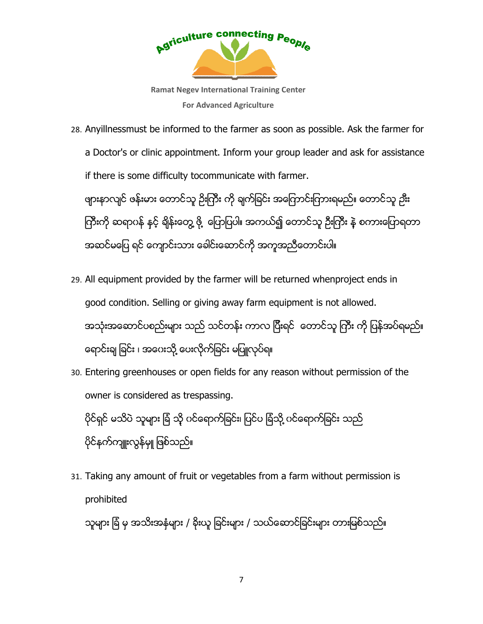

Ramat Negev International Training Center For Advanced Agriculture

28. Anyillnessmust be informed to the farmer as soon as possible. Ask the farmer for a Doctor's or clinic appointment. Inform your group leader and ask for assistance if there is some difficulty tocommunicate with farmer. Anyillnessmust be informed to the farmer as soon as possible. Ask the farmer<br>a Doctor's or clinic appointment. Inform your group leader and ask for assista<br>if there is some difficulty tocommunicate with farmer.<br>ဖျားနာလျင

ကြီးကို ဆရာပနဲ နင့် ရိုန်းတွေ့ ဖို့ ပြောပြပါ။ အကယ်၍ တောင်သူ ဦးကြီး နဲ့ စကားပြောရတာ အဆင်မပြေ ရင် ကျောင်းသား ခေါင်းဆောင်ကို အကူအညီတောင်းပါ။ ီ ျမည်။ တောင်သူ ဉီးး<br>ကြီး နဲ့ စကားပြောရတာ<br>|<br>project ends in

- 29. All equipment provided by the farme farmer will be returned whenproject ends in good condition. Selling or giving away farm equipment is not allowed. အသုံးအဆောင်ပစည်းများ သည် သင်တန်း ကာလ ပြီးရင် တောင်သူ ကြီး ကို ပြန်အပ်ရမည်။<br>ရောင်းချ ခြင်း ၊ အပေးသို့ ပေးလိုက်ခြင်း မပြူလုပ်ရ။ ီ းချ ခြင်း ၊ အဂေးသို့ ပေးလိုက်ခြင်း မပြူလုပ်ရ။ ပစည်းများ သည် သင်တန်း ကာလ ပြီးရင် တောင်သူ ကြီး ကို ပြန်အပ်ရမည်၊
- 30. Entering greenhouses or open fields for any reason without permission of the owner is considered as trespassing. ရောင်းချ ခြင်း ၊ အပေးသို့ ပေးလိုက်ခြင်း မပြူလုပ်ရ။<br>Entering greenhouses or open fields for any reason without permis<br>owner is considered as trespassing.<br>ပိုင်ရှင် မသိပဲ သူများ ရြံ သို့ ပင်ရောက်ခြင်း၊ ပြင်ပ ရြံသို့ ပင်ရောက open fields for any reason without permission of tl $\epsilon$ espassing. $\delta$ င်ရောက်ခြင်း၊ ပြင်ပ ခြံသို့ ပင်ရောက်ခြင်း သည် $\epsilon$ ။ $\epsilon$ nt or vegetables from a farm without permission is

ပိုင်ရှင် မသိပဲ သူများ ရြံ သို ဂ၊<br><br>ပိုင်နက်ကျူးလွန်မျု ဖြစ်သည်။

31. Taking any amount of fruit or vegetables from a farm without permission prohibited

သူများ ရြံ မှ အသီးအနံများ / ခိုးယူ ခြင်းများ / သယ်ဆောင်ခြင်းများ တားမြစ်သည်။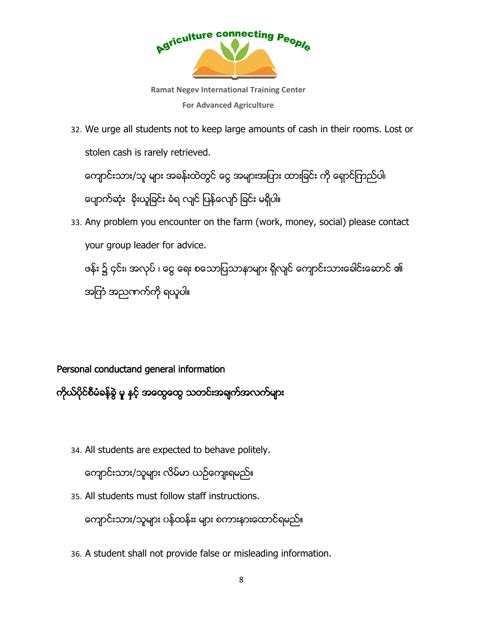

Ramat Negev International Training Center For Advanced Agriculture

32. We urge all students not to keep large amounts of cash in their rooms. Lost or stolen cash is rarely retrieved.

ကျောင်းသား/သူ များ အခန်းထဲတွင် ငွေ အများအပြား ထားခြင်း ကို ရှောင်ကြည်ပါ၊ ကျောင်းသား/သူ များ အခန်းထဲတွင် ငွေ အများအပြား<br>ပျောက်ဆုံး နိးယူခြင်း ခံရ လျင် ပြန်လျော် ခြင်း မရှိပါ။

33. Any problem you encounter on the farm (work, money, social) please contact your group leader for advice. e urge all students not to keep large amounts of cash in their rooms. Lost<br>len cash is rarely retrieved.<br>သူတိသေား/သူ များ အခန်းထဲတွင် စငွ အများအပြား ထားခြင်း ကို ရှောင်ကြည်ပါ၊<br>pက်ဆုံး နိုးယူခြင်း စံရ လျင် မြန်လျော် ခြင

ဖန်း ၌ ၄င်း၊ အလုပ် ၊ ငွေ ေရး စသောပြသာနာများ ရိုလျင် ကျောင်းသားခေါင်းဆောင် ၏ အျကံအညဏက္ကု ိရယူပါ။ င်း၊ အလုပ် ၊ ငွေ ရေး စသောပြ<br>)ညကက်ကို ရယူပါ။<br>)<br>uctand general information

### Personal conductand general information

ကိုယ်ပိုင်စီမံခန့်ခွဲ မူ နှင့် အထွေထွေ သတင်းအချက်အလက်များ

34. All students are expected to behave politely.

ကျောင်းသား/သူများ လိမ်မာ ယဉ်ကျေးရမည်

35. All students must follow staff instructions.

ကျောင်းသား/သူများ လိမ်မာ ယဉ်ကျေးရမည်။<br>All students must follow staff instructions.<br>ကျောင်းသား/သူများ ဂန်ထန်းး များ စကားနားထောင်ရမည်

36. A student shall not provide false or misleading information.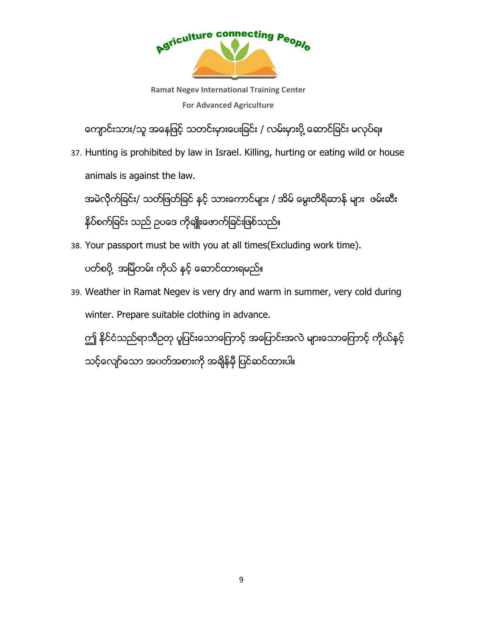

Ramat Negev International Training Center For Advanced Agriculture

ကျောင်းသား/သူ အနေဖြင့် သတင်းမှားပေးခြင်း / လမ်းမှားပို့ ဆောင်ခြင်း မလုပ်ရ။ ္

37. Hunting is prohibited by law in Israel. Killing, hurting or eating wild or house animals is against the law law.

အမဲလိုက်ခြင်း/ သတ်ဖြတ်ခြင် နှင့် သားကောင်များ / အိမ် မွေးတိရိဆာန် များ ဖမ်းဆီး<br>နိုပ်စက်ခြင်း သည် ဥပဒေ ကိုချိူးဖောက်ခြင်းဖြစ်သည်။<br>Your passport must be with you at all times(Excluding work time). နိပ်စက်ခြင်း သည် ဥပဒေ ကိုချိူးဖောက်ခြင်းဖြစ်သည်။ ိ အမဲလိုက်ခြင်း/ သတ်ဖြတ်ခြင် နှင့် သားကောင်များ / အိမ် မွေးတိရိဆာန် များ ဖမ်းဆီး<br>နိုပ်စက်ခြင်း သည် ဥပဒေ ကိုချိူးဖောက်ခြင်းဖြစ်သည်။<br>38. Your passport must be with you at all times(Excluding work time).<br>ပတ်စပို့ အမြဲတမ်း ကို ္  $\gamma$ ြး<br>
ed by law in Israel. Killing, hu<br>
the law.<br>ဖြတ်ခြင် နှင့် သားကောင်များ / ဒ<br>)<br>ပဒေ ကိုချိုးဖောက်ခြင်းဖြစ်သည်။<br>
so ကိုချိုးဖောက်ချေးများ<br>
Negev is very dry and warm<br>
itable clothing in advance.<br>
တို့ ပူပြင်းသောကြောင့

38. Your passport must be with you at all times(Excluding work time).

ပတ္စပုိ ့ အျမဲတမ္း ကုိယ္ နွင့္ ေဆာင္ထားရမည္။

winter. Prepare suitable clothing in advance.

ဤ နိုင်ငံသည်ရာသီဥတု ပူပြင်းသောကြောင့် အပြောင်းအလဲ များသောကြောင့် ကိုယ်နင့် သင့်လျော်သော အဂတ်အစားကို အချိန်မှီ ပြင်ဆင်ထားပါ။